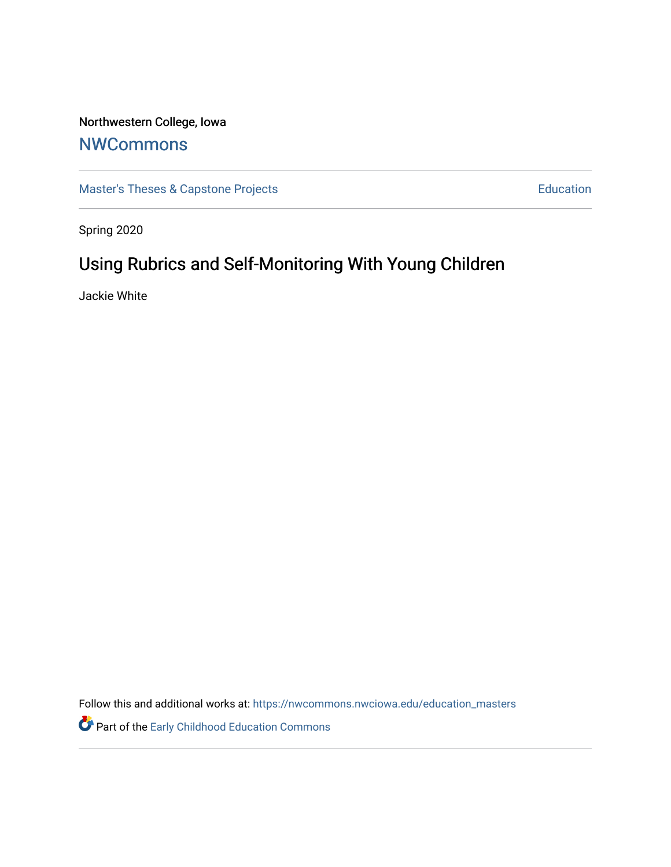# Northwestern College, Iowa

# **[NWCommons](https://nwcommons.nwciowa.edu/)**

[Master's Theses & Capstone Projects](https://nwcommons.nwciowa.edu/education_masters) **Education** Education

Spring 2020

# Using Rubrics and Self-Monitoring With Young Children

Jackie White

Follow this and additional works at: [https://nwcommons.nwciowa.edu/education\\_masters](https://nwcommons.nwciowa.edu/education_masters?utm_source=nwcommons.nwciowa.edu%2Feducation_masters%2F226&utm_medium=PDF&utm_campaign=PDFCoverPages)

Part of the [Early Childhood Education Commons](http://network.bepress.com/hgg/discipline/1377?utm_source=nwcommons.nwciowa.edu%2Feducation_masters%2F226&utm_medium=PDF&utm_campaign=PDFCoverPages)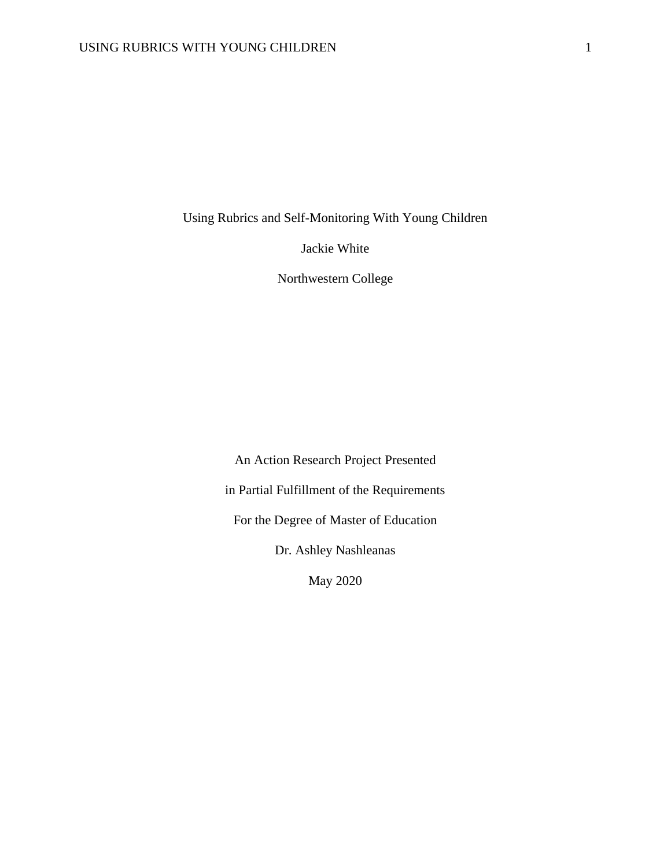Using Rubrics and Self-Monitoring With Young Children

Jackie White

Northwestern College

An Action Research Project Presented in Partial Fulfillment of the Requirements For the Degree of Master of Education Dr. Ashley Nashleanas

May 2020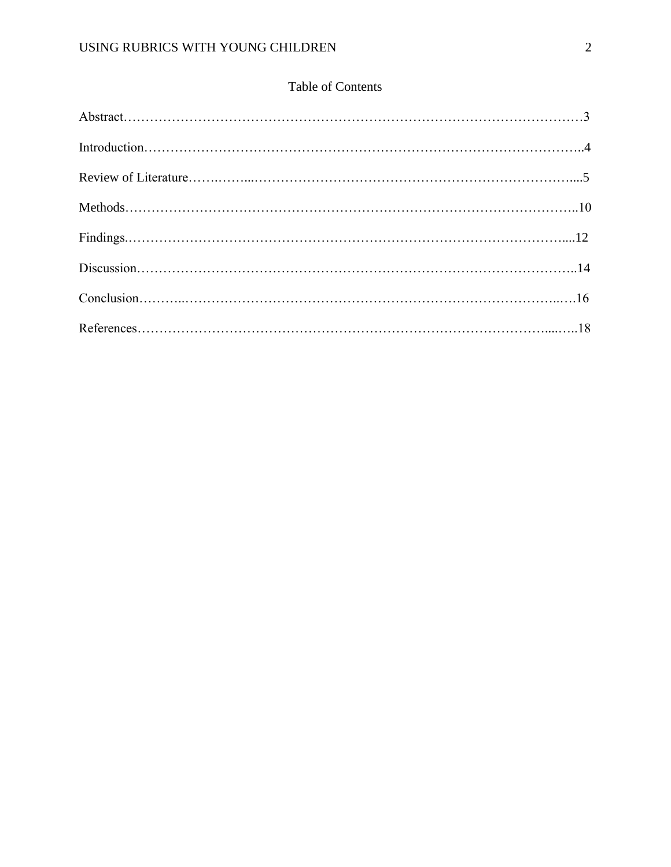# Table of Contents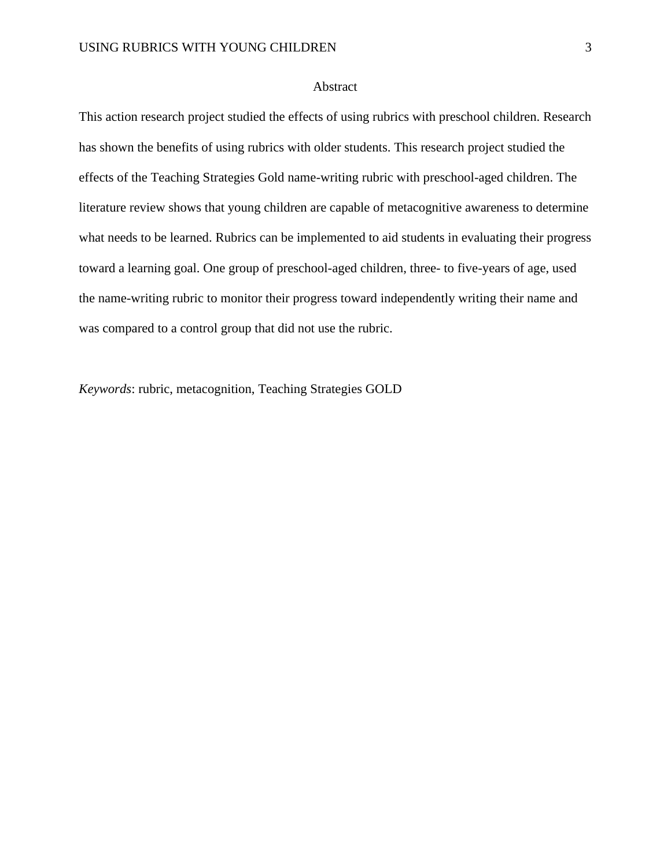# Abstract

This action research project studied the effects of using rubrics with preschool children. Research has shown the benefits of using rubrics with older students. This research project studied the effects of the Teaching Strategies Gold name-writing rubric with preschool-aged children. The literature review shows that young children are capable of metacognitive awareness to determine what needs to be learned. Rubrics can be implemented to aid students in evaluating their progress toward a learning goal. One group of preschool-aged children, three- to five-years of age, used the name-writing rubric to monitor their progress toward independently writing their name and was compared to a control group that did not use the rubric.

*Keywords*: rubric, metacognition, Teaching Strategies GOLD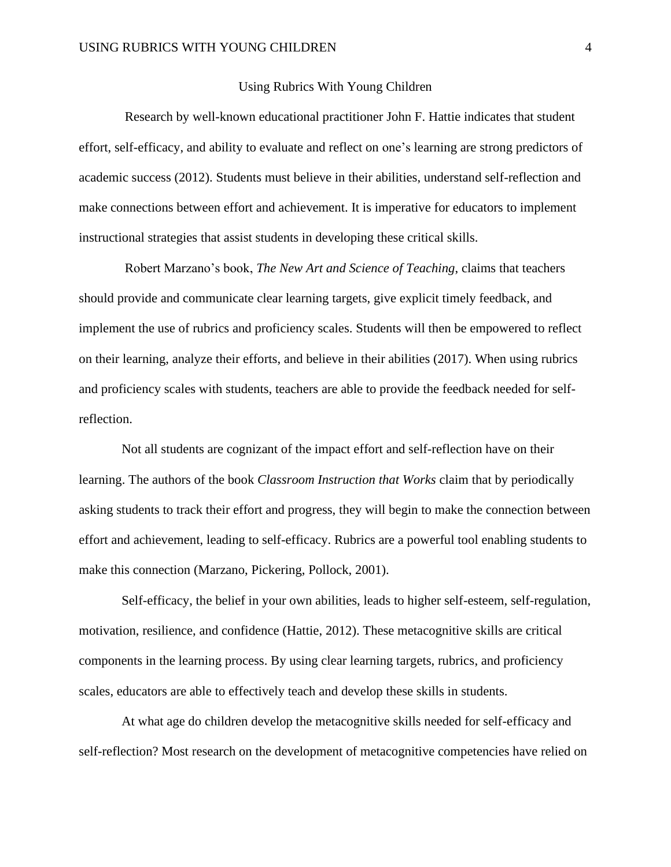# Using Rubrics With Young Children

 Research by well-known educational practitioner John F. Hattie indicates that student effort, self-efficacy, and ability to evaluate and reflect on one's learning are strong predictors of academic success (2012). Students must believe in their abilities, understand self-reflection and make connections between effort and achievement. It is imperative for educators to implement instructional strategies that assist students in developing these critical skills.

 Robert Marzano's book, *The New Art and Science of Teaching*, claims that teachers should provide and communicate clear learning targets, give explicit timely feedback, and implement the use of rubrics and proficiency scales. Students will then be empowered to reflect on their learning, analyze their efforts, and believe in their abilities (2017). When using rubrics and proficiency scales with students, teachers are able to provide the feedback needed for selfreflection.

 Not all students are cognizant of the impact effort and self-reflection have on their learning. The authors of the book *Classroom Instruction that Works* claim that by periodically asking students to track their effort and progress, they will begin to make the connection between effort and achievement, leading to self-efficacy. Rubrics are a powerful tool enabling students to make this connection (Marzano, Pickering, Pollock, 2001).

 Self-efficacy, the belief in your own abilities, leads to higher self-esteem, self-regulation, motivation, resilience, and confidence (Hattie, 2012). These metacognitive skills are critical components in the learning process. By using clear learning targets, rubrics, and proficiency scales, educators are able to effectively teach and develop these skills in students.

 At what age do children develop the metacognitive skills needed for self-efficacy and self-reflection? Most research on the development of metacognitive competencies have relied on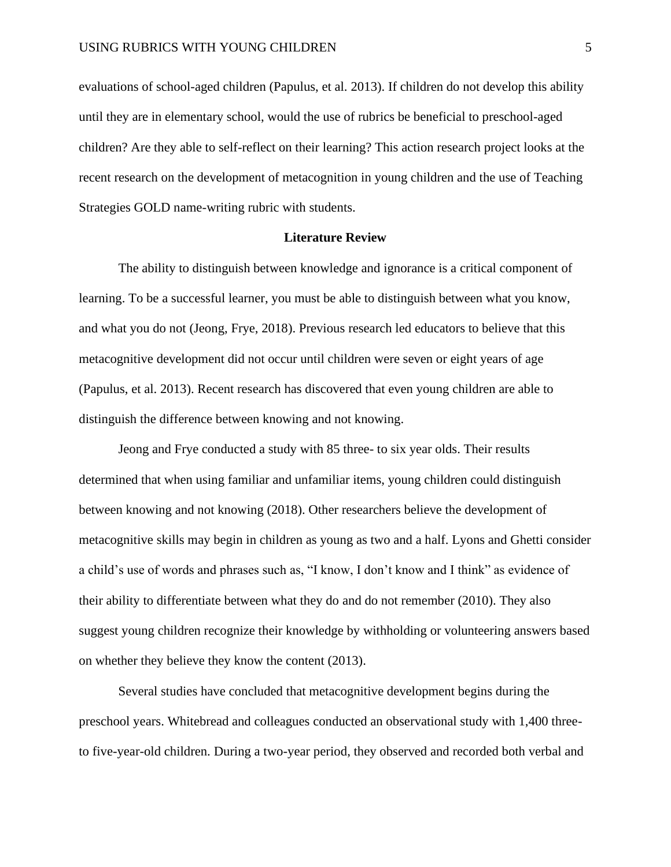evaluations of school-aged children (Papulus, et al. 2013). If children do not develop this ability until they are in elementary school, would the use of rubrics be beneficial to preschool-aged children? Are they able to self-reflect on their learning? This action research project looks at the recent research on the development of metacognition in young children and the use of Teaching Strategies GOLD name-writing rubric with students.

#### **Literature Review**

The ability to distinguish between knowledge and ignorance is a critical component of learning. To be a successful learner, you must be able to distinguish between what you know, and what you do not (Jeong, Frye, 2018). Previous research led educators to believe that this metacognitive development did not occur until children were seven or eight years of age (Papulus, et al. 2013). Recent research has discovered that even young children are able to distinguish the difference between knowing and not knowing.

Jeong and Frye conducted a study with 85 three- to six year olds. Their results determined that when using familiar and unfamiliar items, young children could distinguish between knowing and not knowing (2018). Other researchers believe the development of metacognitive skills may begin in children as young as two and a half. Lyons and Ghetti consider a child's use of words and phrases such as, "I know, I don't know and I think" as evidence of their ability to differentiate between what they do and do not remember (2010). They also suggest young children recognize their knowledge by withholding or volunteering answers based on whether they believe they know the content (2013).

Several studies have concluded that metacognitive development begins during the preschool years. Whitebread and colleagues conducted an observational study with 1,400 threeto five-year-old children. During a two-year period, they observed and recorded both verbal and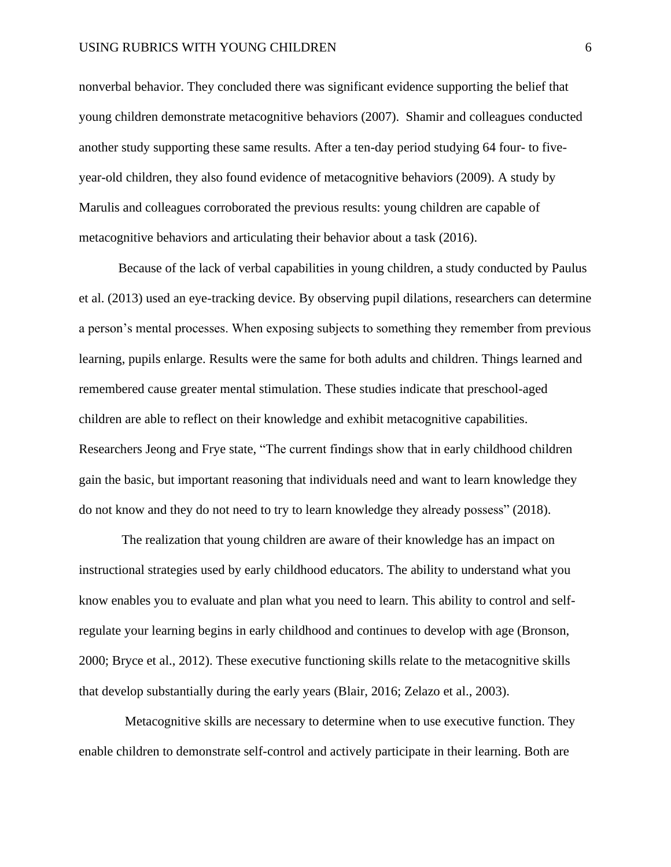nonverbal behavior. They concluded there was significant evidence supporting the belief that young children demonstrate metacognitive behaviors (2007). Shamir and colleagues conducted another study supporting these same results. After a ten-day period studying 64 four- to fiveyear-old children, they also found evidence of metacognitive behaviors (2009). A study by Marulis and colleagues corroborated the previous results: young children are capable of metacognitive behaviors and articulating their behavior about a task (2016).

Because of the lack of verbal capabilities in young children, a study conducted by Paulus et al. (2013) used an eye-tracking device. By observing pupil dilations, researchers can determine a person's mental processes. When exposing subjects to something they remember from previous learning, pupils enlarge. Results were the same for both adults and children. Things learned and remembered cause greater mental stimulation. These studies indicate that preschool-aged children are able to reflect on their knowledge and exhibit metacognitive capabilities. Researchers Jeong and Frye state, "The current findings show that in early childhood children gain the basic, but important reasoning that individuals need and want to learn knowledge they do not know and they do not need to try to learn knowledge they already possess" (2018).

 The realization that young children are aware of their knowledge has an impact on instructional strategies used by early childhood educators. The ability to understand what you know enables you to evaluate and plan what you need to learn. This ability to control and selfregulate your learning begins in early childhood and continues to develop with age (Bronson, 2000; Bryce et al., 2012). These executive functioning skills relate to the metacognitive skills that develop substantially during the early years (Blair, 2016; Zelazo et al., 2003).

 Metacognitive skills are necessary to determine when to use executive function. They enable children to demonstrate self-control and actively participate in their learning. Both are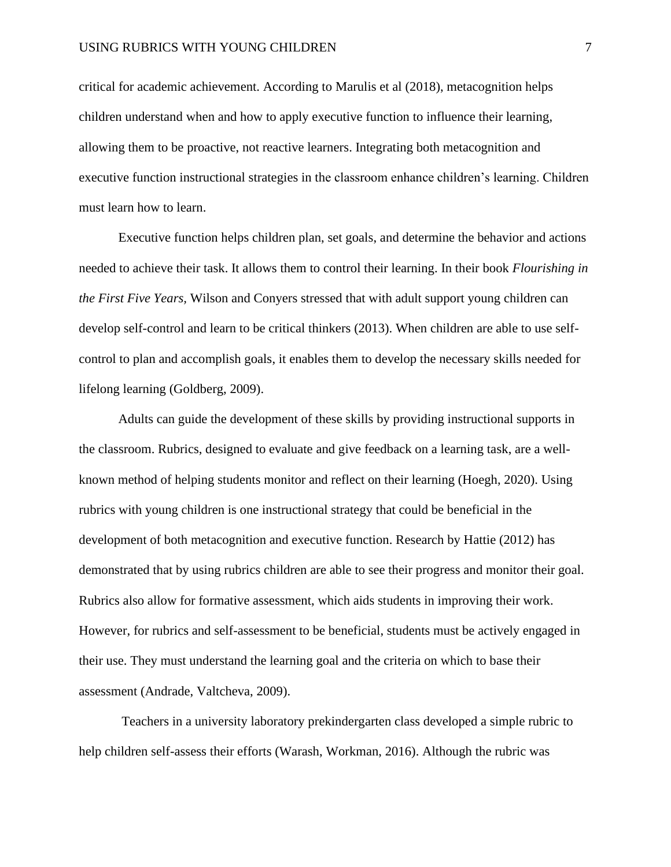critical for academic achievement. According to Marulis et al (2018), metacognition helps children understand when and how to apply executive function to influence their learning, allowing them to be proactive, not reactive learners. Integrating both metacognition and executive function instructional strategies in the classroom enhance children's learning. Children must learn how to learn.

 Executive function helps children plan, set goals, and determine the behavior and actions needed to achieve their task. It allows them to control their learning. In their book *Flourishing in the First Five Years,* Wilson and Conyers stressed that with adult support young children can develop self-control and learn to be critical thinkers (2013). When children are able to use selfcontrol to plan and accomplish goals, it enables them to develop the necessary skills needed for lifelong learning (Goldberg, 2009).

 Adults can guide the development of these skills by providing instructional supports in the classroom. Rubrics, designed to evaluate and give feedback on a learning task, are a wellknown method of helping students monitor and reflect on their learning (Hoegh, 2020). Using rubrics with young children is one instructional strategy that could be beneficial in the development of both metacognition and executive function. Research by Hattie (2012) has demonstrated that by using rubrics children are able to see their progress and monitor their goal. Rubrics also allow for formative assessment, which aids students in improving their work. However, for rubrics and self-assessment to be beneficial, students must be actively engaged in their use. They must understand the learning goal and the criteria on which to base their assessment (Andrade, Valtcheva, 2009).

 Teachers in a university laboratory prekindergarten class developed a simple rubric to help children self-assess their efforts (Warash, Workman, 2016). Although the rubric was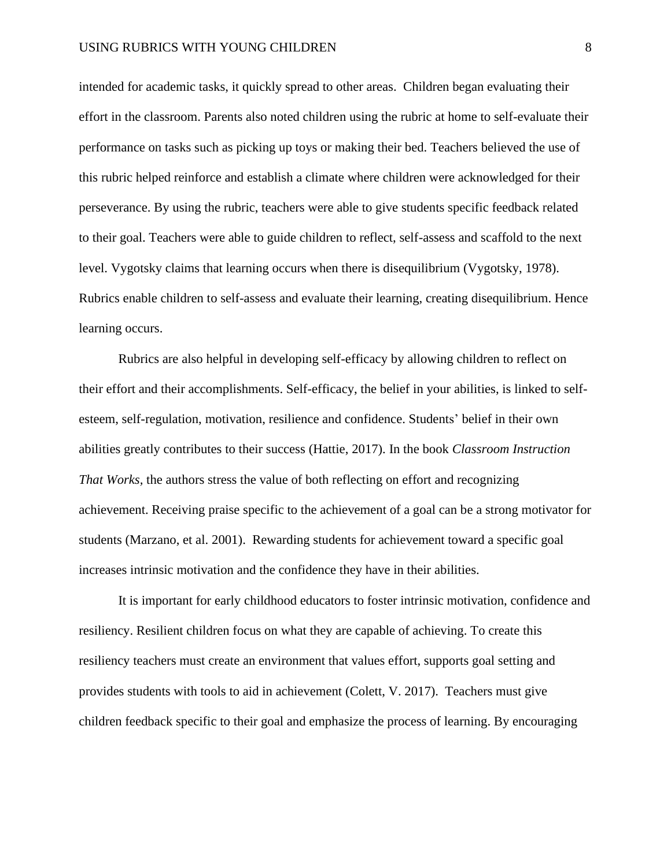intended for academic tasks, it quickly spread to other areas. Children began evaluating their effort in the classroom. Parents also noted children using the rubric at home to self-evaluate their performance on tasks such as picking up toys or making their bed. Teachers believed the use of this rubric helped reinforce and establish a climate where children were acknowledged for their perseverance. By using the rubric, teachers were able to give students specific feedback related to their goal. Teachers were able to guide children to reflect, self-assess and scaffold to the next level. Vygotsky claims that learning occurs when there is disequilibrium (Vygotsky, 1978). Rubrics enable children to self-assess and evaluate their learning, creating disequilibrium. Hence learning occurs.

 Rubrics are also helpful in developing self-efficacy by allowing children to reflect on their effort and their accomplishments. Self-efficacy, the belief in your abilities, is linked to selfesteem, self-regulation, motivation, resilience and confidence. Students' belief in their own abilities greatly contributes to their success (Hattie, 2017). In the book *Classroom Instruction That Works,* the authors stress the value of both reflecting on effort and recognizing achievement. Receiving praise specific to the achievement of a goal can be a strong motivator for students (Marzano, et al. 2001). Rewarding students for achievement toward a specific goal increases intrinsic motivation and the confidence they have in their abilities.

 It is important for early childhood educators to foster intrinsic motivation, confidence and resiliency. Resilient children focus on what they are capable of achieving. To create this resiliency teachers must create an environment that values effort, supports goal setting and provides students with tools to aid in achievement (Colett, V. 2017). Teachers must give children feedback specific to their goal and emphasize the process of learning. By encouraging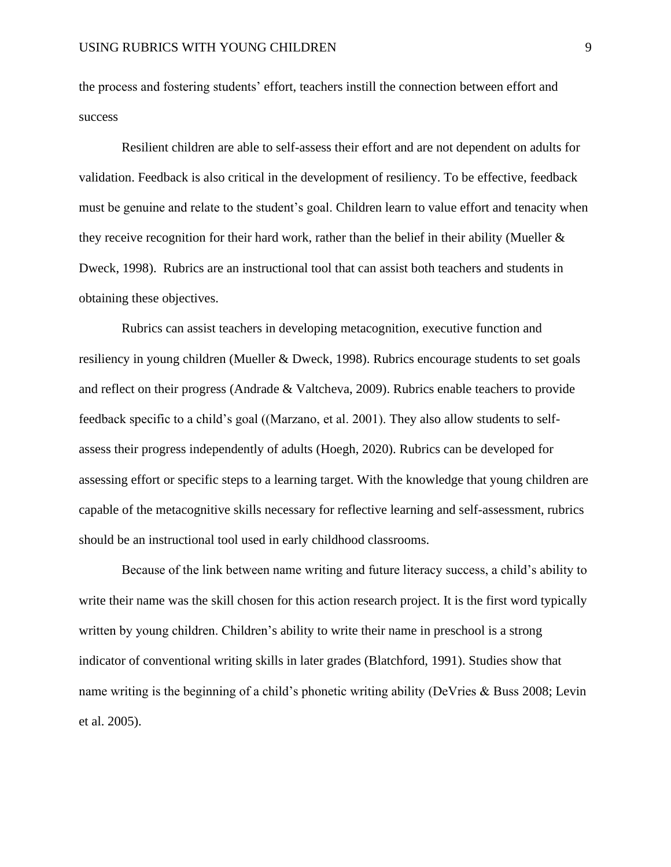the process and fostering students' effort, teachers instill the connection between effort and success

 Resilient children are able to self-assess their effort and are not dependent on adults for validation. Feedback is also critical in the development of resiliency. To be effective, feedback must be genuine and relate to the student's goal. Children learn to value effort and tenacity when they receive recognition for their hard work, rather than the belief in their ability (Mueller & Dweck, 1998). Rubrics are an instructional tool that can assist both teachers and students in obtaining these objectives.

Rubrics can assist teachers in developing metacognition, executive function and resiliency in young children (Mueller & Dweck, 1998). Rubrics encourage students to set goals and reflect on their progress (Andrade & Valtcheva, 2009). Rubrics enable teachers to provide feedback specific to a child's goal ((Marzano, et al. 2001). They also allow students to selfassess their progress independently of adults (Hoegh, 2020). Rubrics can be developed for assessing effort or specific steps to a learning target. With the knowledge that young children are capable of the metacognitive skills necessary for reflective learning and self-assessment, rubrics should be an instructional tool used in early childhood classrooms.

 Because of the link between name writing and future literacy success, a child's ability to write their name was the skill chosen for this action research project. It is the first word typically written by young children. Children's ability to write their name in preschool is a strong indicator of conventional writing skills in later grades (Blatchford, 1991). Studies show that name writing is the beginning of a child's phonetic writing ability (DeVries & Buss 2008; Levin et al. 2005).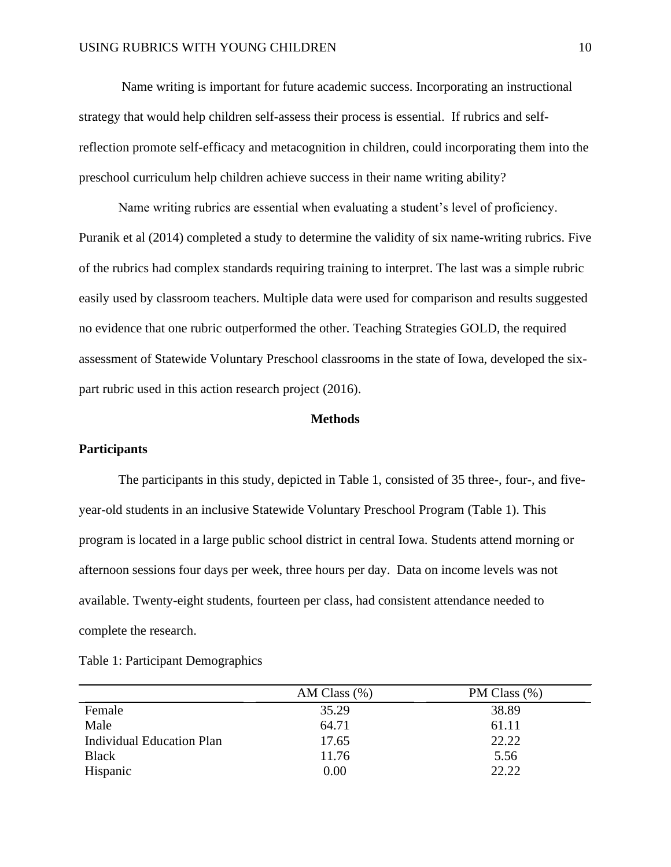Name writing is important for future academic success. Incorporating an instructional strategy that would help children self-assess their process is essential. If rubrics and selfreflection promote self-efficacy and metacognition in children, could incorporating them into the preschool curriculum help children achieve success in their name writing ability?

 Name writing rubrics are essential when evaluating a student's level of proficiency. Puranik et al (2014) completed a study to determine the validity of six name-writing rubrics. Five of the rubrics had complex standards requiring training to interpret. The last was a simple rubric easily used by classroom teachers. Multiple data were used for comparison and results suggested no evidence that one rubric outperformed the other. Teaching Strategies GOLD, the required assessment of Statewide Voluntary Preschool classrooms in the state of Iowa, developed the sixpart rubric used in this action research project (2016).

# **Methods**

#### **Participants**

The participants in this study, depicted in Table 1, consisted of 35 three-, four-, and fiveyear-old students in an inclusive Statewide Voluntary Preschool Program (Table 1). This program is located in a large public school district in central Iowa. Students attend morning or afternoon sessions four days per week, three hours per day. Data on income levels was not available. Twenty-eight students, fourteen per class, had consistent attendance needed to complete the research.

|                                  | AM Class $(\% )$ | PM Class (%) |
|----------------------------------|------------------|--------------|
| Female                           | 35.29            | 38.89        |
| Male                             | 64.71            | 61.11        |
| <b>Individual Education Plan</b> | 17.65            | 22.22        |
| <b>Black</b>                     | 11.76            | 5.56         |
| Hispanic                         | 0.00             | 22.22        |

|  | Table 1: Participant Demographics |
|--|-----------------------------------|
|--|-----------------------------------|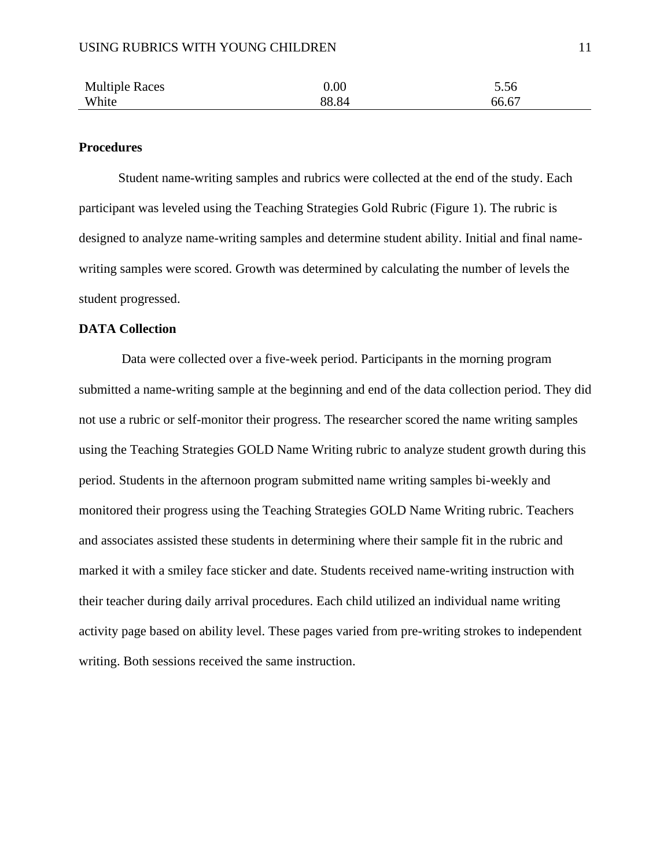| <b>Multiple Races</b> | 0.00  | 5.56  |
|-----------------------|-------|-------|
| White                 | 88.84 | 66.67 |

## **Procedures**

Student name-writing samples and rubrics were collected at the end of the study. Each participant was leveled using the Teaching Strategies Gold Rubric (Figure 1). The rubric is designed to analyze name-writing samples and determine student ability. Initial and final namewriting samples were scored. Growth was determined by calculating the number of levels the student progressed.

# **DATA Collection**

 Data were collected over a five-week period. Participants in the morning program submitted a name-writing sample at the beginning and end of the data collection period. They did not use a rubric or self-monitor their progress. The researcher scored the name writing samples using the Teaching Strategies GOLD Name Writing rubric to analyze student growth during this period. Students in the afternoon program submitted name writing samples bi-weekly and monitored their progress using the Teaching Strategies GOLD Name Writing rubric. Teachers and associates assisted these students in determining where their sample fit in the rubric and marked it with a smiley face sticker and date. Students received name-writing instruction with their teacher during daily arrival procedures. Each child utilized an individual name writing activity page based on ability level. These pages varied from pre-writing strokes to independent writing. Both sessions received the same instruction.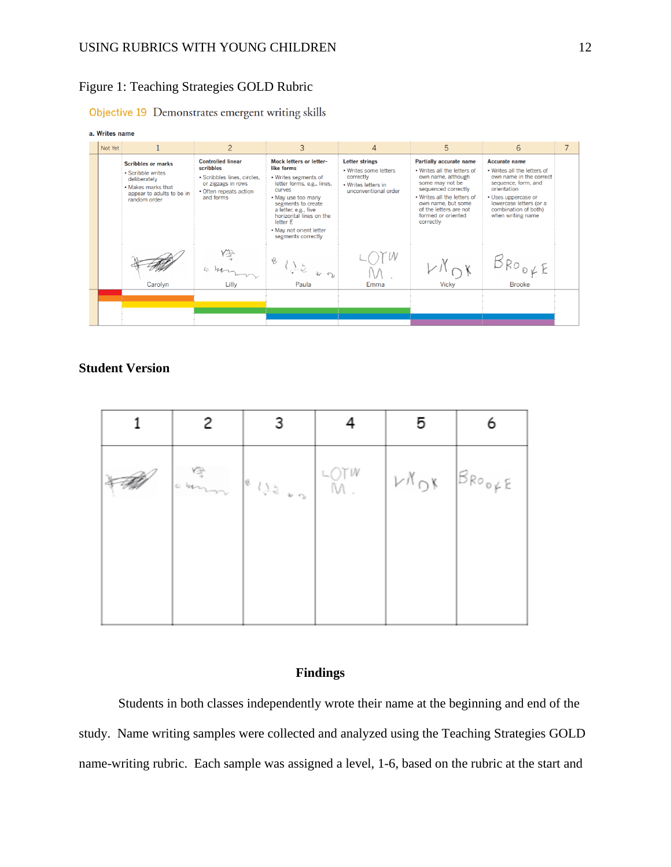# Figure 1: Teaching Strategies GOLD Rubric

Objective 19 Demonstrates emergent writing skills



# **Student Version**

| ours | $\frac{1}{2}$ (1) | LOTH LAOK BROOFE |  |
|------|-------------------|------------------|--|
|      |                   |                  |  |
|      |                   |                  |  |

# **Findings**

Students in both classes independently wrote their name at the beginning and end of the study. Name writing samples were collected and analyzed using the Teaching Strategies GOLD name-writing rubric. Each sample was assigned a level, 1-6, based on the rubric at the start and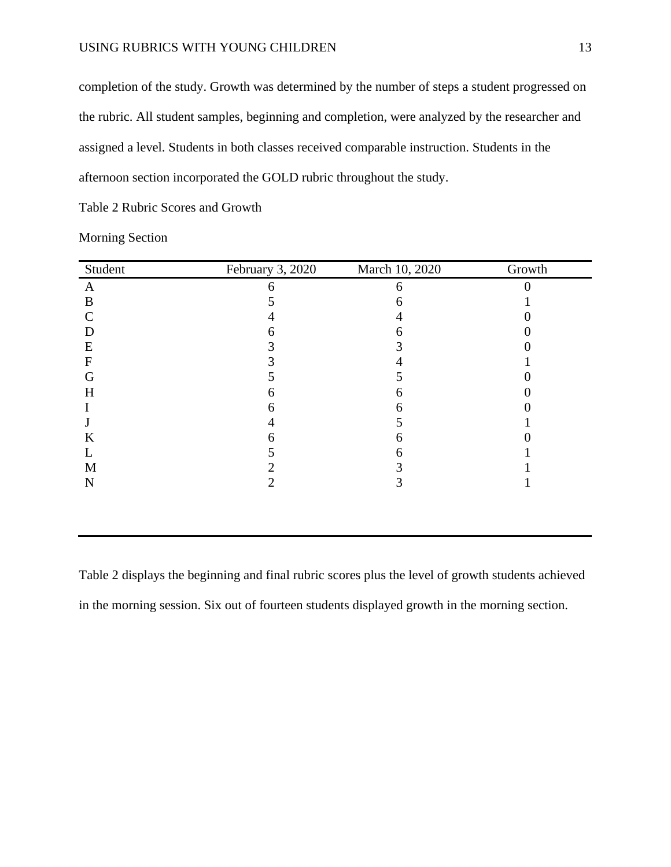completion of the study. Growth was determined by the number of steps a student progressed on the rubric. All student samples, beginning and completion, were analyzed by the researcher and assigned a level. Students in both classes received comparable instruction. Students in the afternoon section incorporated the GOLD rubric throughout the study.

Table 2 Rubric Scores and Growth

| Student      | February 3, 2020 | March 10, 2020 | Growth |
|--------------|------------------|----------------|--------|
| A            |                  | 6              |        |
| B            |                  |                |        |
| C            |                  |                |        |
| D            |                  |                |        |
| E            |                  |                |        |
| $\mathbf{F}$ |                  |                |        |
| G            |                  |                |        |
| H            | n                |                |        |
|              |                  |                |        |
|              |                  |                |        |
| K            |                  |                |        |
| L            |                  |                |        |
| M            |                  |                |        |
| $\mathbf N$  |                  |                |        |
|              |                  |                |        |

Morning Section

Table 2 displays the beginning and final rubric scores plus the level of growth students achieved in the morning session. Six out of fourteen students displayed growth in the morning section.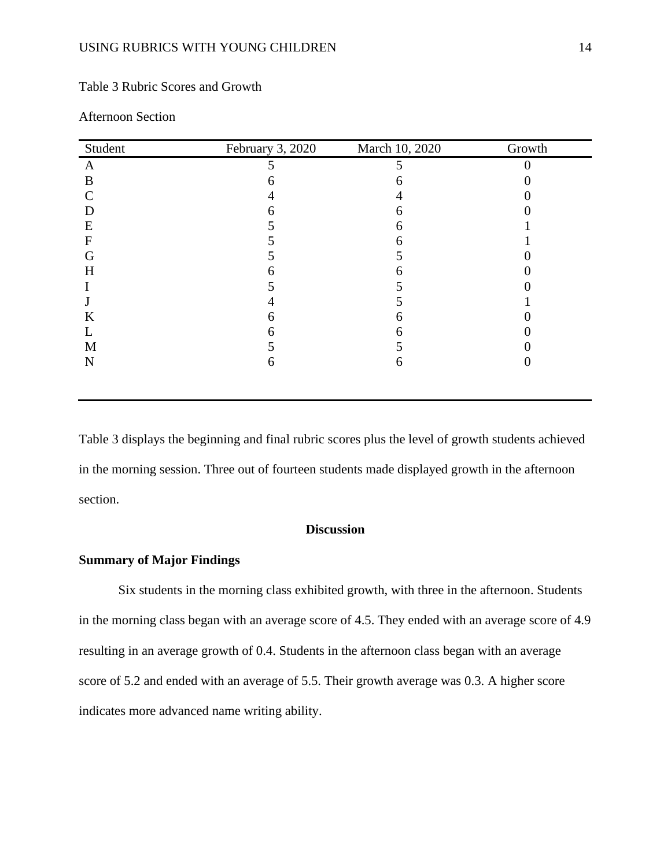# Table 3 Rubric Scores and Growth

| Student | February 3, 2020 | March 10, 2020 | Growth |
|---------|------------------|----------------|--------|
| A       |                  |                |        |
| B       |                  |                |        |
| C       |                  |                |        |
| D       |                  | 6              |        |
| E       |                  | h              |        |
| F       |                  | h              |        |
| G       |                  |                |        |
| H       |                  |                |        |
|         |                  |                |        |
|         |                  |                |        |
| K       | h                | ჩ              |        |
|         | n                | h              |        |
| M       |                  |                |        |
| N       | <sub>0</sub>     | 6              |        |
|         |                  |                |        |

# Afternoon Section

Table 3 displays the beginning and final rubric scores plus the level of growth students achieved in the morning session. Three out of fourteen students made displayed growth in the afternoon section.

# **Discussion**

# **Summary of Major Findings**

Six students in the morning class exhibited growth, with three in the afternoon. Students in the morning class began with an average score of 4.5. They ended with an average score of 4.9 resulting in an average growth of 0.4. Students in the afternoon class began with an average score of 5.2 and ended with an average of 5.5. Their growth average was 0.3. A higher score indicates more advanced name writing ability.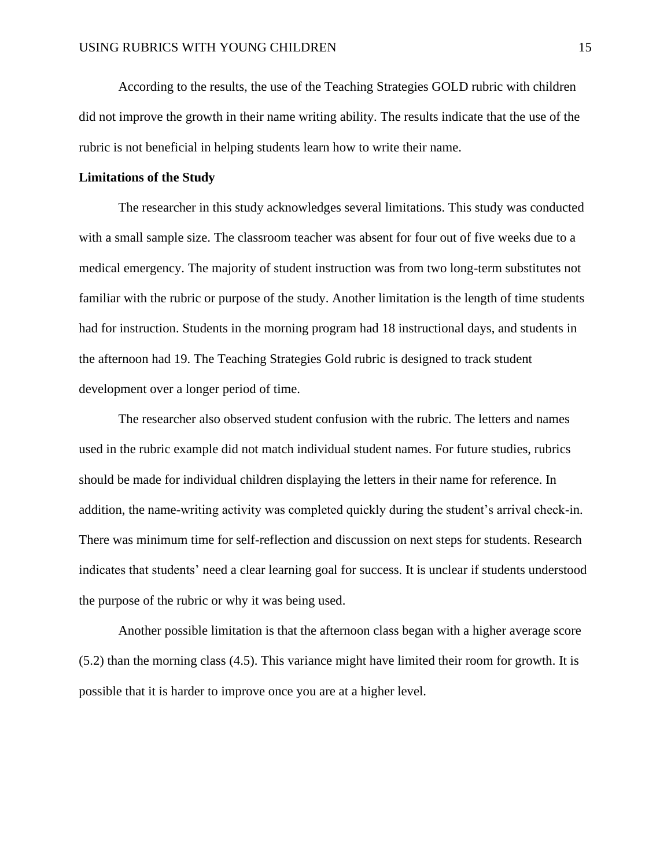According to the results, the use of the Teaching Strategies GOLD rubric with children did not improve the growth in their name writing ability. The results indicate that the use of the rubric is not beneficial in helping students learn how to write their name.

# **Limitations of the Study**

The researcher in this study acknowledges several limitations. This study was conducted with a small sample size. The classroom teacher was absent for four out of five weeks due to a medical emergency. The majority of student instruction was from two long-term substitutes not familiar with the rubric or purpose of the study. Another limitation is the length of time students had for instruction. Students in the morning program had 18 instructional days, and students in the afternoon had 19. The Teaching Strategies Gold rubric is designed to track student development over a longer period of time.

 The researcher also observed student confusion with the rubric. The letters and names used in the rubric example did not match individual student names. For future studies, rubrics should be made for individual children displaying the letters in their name for reference. In addition, the name-writing activity was completed quickly during the student's arrival check-in. There was minimum time for self-reflection and discussion on next steps for students. Research indicates that students' need a clear learning goal for success. It is unclear if students understood the purpose of the rubric or why it was being used.

Another possible limitation is that the afternoon class began with a higher average score (5.2) than the morning class (4.5). This variance might have limited their room for growth. It is possible that it is harder to improve once you are at a higher level.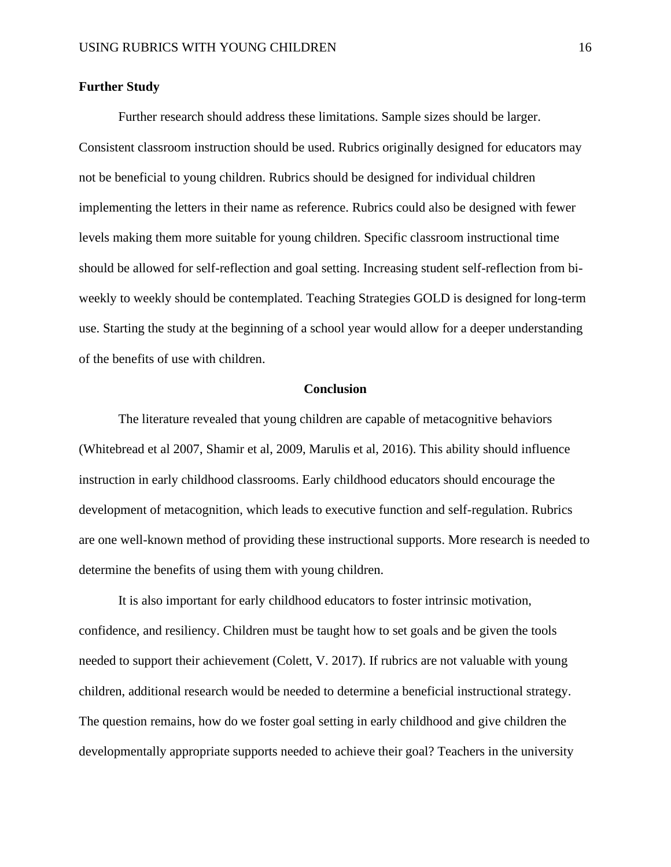# **Further Study**

Further research should address these limitations. Sample sizes should be larger. Consistent classroom instruction should be used. Rubrics originally designed for educators may not be beneficial to young children. Rubrics should be designed for individual children implementing the letters in their name as reference. Rubrics could also be designed with fewer levels making them more suitable for young children. Specific classroom instructional time should be allowed for self-reflection and goal setting. Increasing student self-reflection from biweekly to weekly should be contemplated. Teaching Strategies GOLD is designed for long-term use. Starting the study at the beginning of a school year would allow for a deeper understanding of the benefits of use with children.

# **Conclusion**

The literature revealed that young children are capable of metacognitive behaviors (Whitebread et al 2007, Shamir et al, 2009, Marulis et al, 2016). This ability should influence instruction in early childhood classrooms. Early childhood educators should encourage the development of metacognition, which leads to executive function and self-regulation. Rubrics are one well-known method of providing these instructional supports. More research is needed to determine the benefits of using them with young children.

It is also important for early childhood educators to foster intrinsic motivation, confidence, and resiliency. Children must be taught how to set goals and be given the tools needed to support their achievement (Colett, V. 2017). If rubrics are not valuable with young children, additional research would be needed to determine a beneficial instructional strategy. The question remains, how do we foster goal setting in early childhood and give children the developmentally appropriate supports needed to achieve their goal? Teachers in the university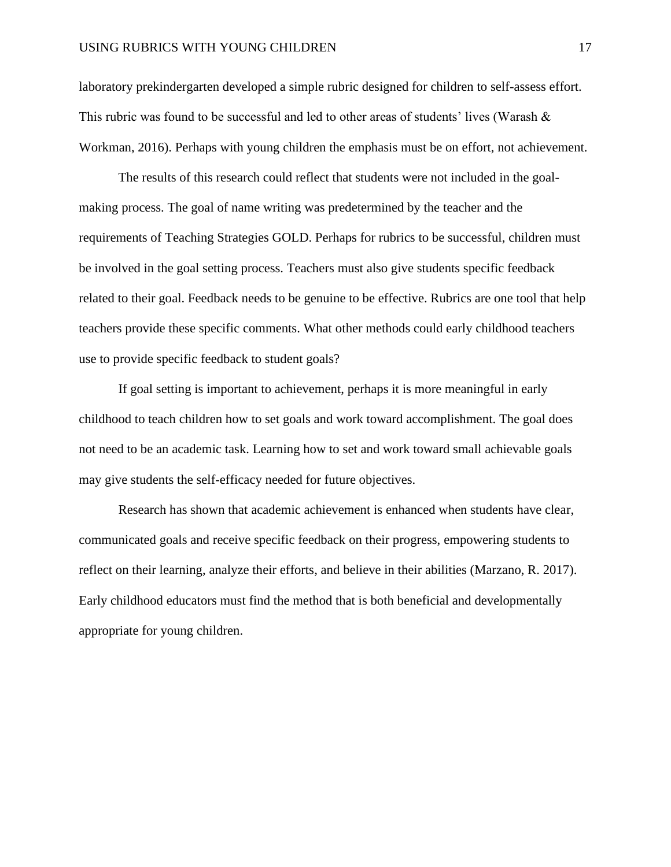laboratory prekindergarten developed a simple rubric designed for children to self-assess effort. This rubric was found to be successful and led to other areas of students' lives (Warash & Workman, 2016). Perhaps with young children the emphasis must be on effort, not achievement.

The results of this research could reflect that students were not included in the goalmaking process. The goal of name writing was predetermined by the teacher and the requirements of Teaching Strategies GOLD. Perhaps for rubrics to be successful, children must be involved in the goal setting process. Teachers must also give students specific feedback related to their goal. Feedback needs to be genuine to be effective. Rubrics are one tool that help teachers provide these specific comments. What other methods could early childhood teachers use to provide specific feedback to student goals?

If goal setting is important to achievement, perhaps it is more meaningful in early childhood to teach children how to set goals and work toward accomplishment. The goal does not need to be an academic task. Learning how to set and work toward small achievable goals may give students the self-efficacy needed for future objectives.

Research has shown that academic achievement is enhanced when students have clear, communicated goals and receive specific feedback on their progress, empowering students to reflect on their learning, analyze their efforts, and believe in their abilities (Marzano, R. 2017). Early childhood educators must find the method that is both beneficial and developmentally appropriate for young children.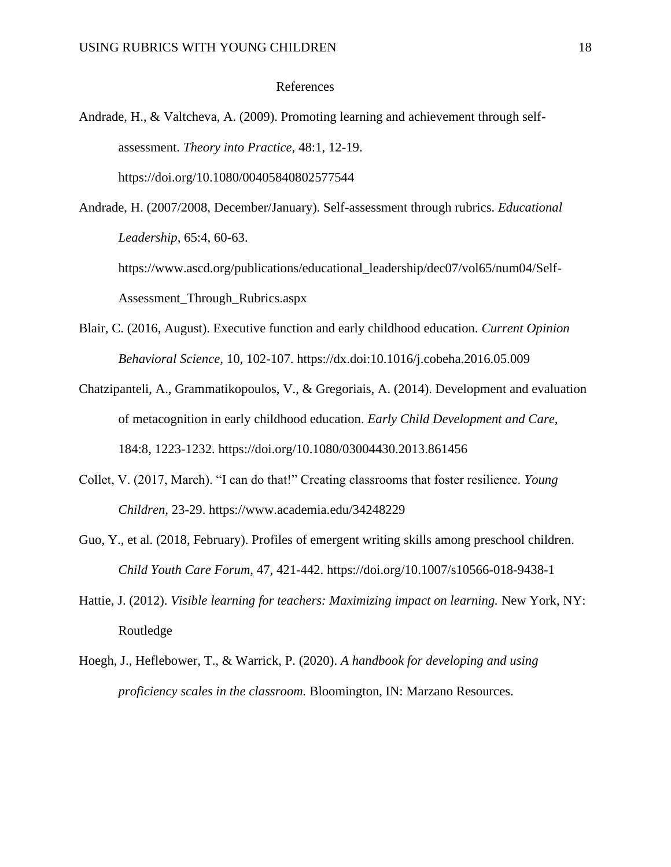#### References

- Andrade, H., & Valtcheva, A. (2009). Promoting learning and achievement through selfassessment. *Theory into Practice,* 48:1, 12-19. https://doi.org/10.1080/00405840802577544
- Andrade, H. (2007/2008, December/January). Self-assessment through rubrics. *Educational Leadership,* 65:4, 60-63.

https://www.ascd.org/publications/educational\_leadership/dec07/vol65/num04/Self-Assessment\_Through\_Rubrics.aspx

- Blair, C. (2016, August). Executive function and early childhood education. *Current Opinion Behavioral Science,* 10, 102-107. https://dx.doi:10.1016/j.cobeha.2016.05.009
- Chatzipanteli, A., Grammatikopoulos, V., & Gregoriais, A. (2014). Development and evaluation of metacognition in early childhood education. *Early Child Development and Care,*  184:8, 1223-1232. https://doi.org/10.1080/03004430.2013.861456
- Collet, V. (2017, March). "I can do that!" Creating classrooms that foster resilience. *Young Children,* 23-29. https://www.academia.edu/34248229
- Guo, Y., et al. (2018, February). Profiles of emergent writing skills among preschool children. *Child Youth Care Forum,* 47, 421-442. https://doi.org/10.1007/s10566-018-9438-1
- Hattie, J. (2012). *Visible learning for teachers: Maximizing impact on learning.* New York, NY: Routledge
- Hoegh, J., Heflebower, T., & Warrick, P. (2020). *A handbook for developing and using proficiency scales in the classroom.* Bloomington, IN: Marzano Resources.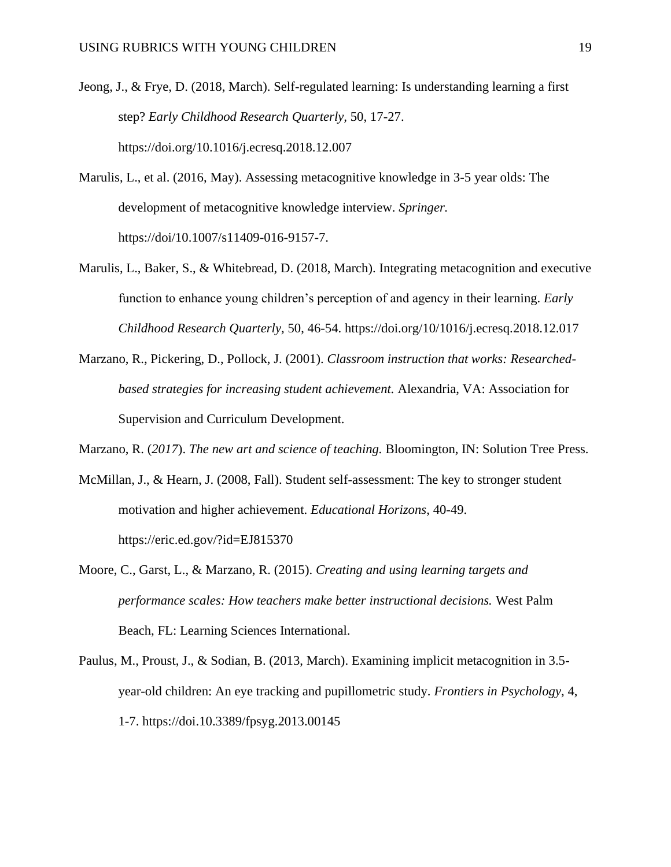- Jeong, J., & Frye, D. (2018, March). Self-regulated learning: Is understanding learning a first step? *Early Childhood Research Quarterly,* 50, 17-27. https://doi.org/10.1016/j.ecresq.2018.12.007
- Marulis, L., et al. (2016, May). Assessing metacognitive knowledge in 3-5 year olds: The development of metacognitive knowledge interview. *Springer.*  https://doi/10.1007/s11409-016-9157-7.
- Marulis, L., Baker, S., & Whitebread, D. (2018, March). Integrating metacognition and executive function to enhance young children's perception of and agency in their learning. *Early Childhood Research Quarterly,* 50, 46-54. https://doi.org/10/1016/j.ecresq.2018.12.017
- Marzano, R., Pickering, D., Pollock, J. (2001). *Classroom instruction that works: Researchedbased strategies for increasing student achievement.* Alexandria, VA: Association for Supervision and Curriculum Development.

Marzano, R. (*2017*). *The new art and science of teaching.* Bloomington, IN: Solution Tree Press.

- McMillan, J., & Hearn, J. (2008, Fall). Student self-assessment: The key to stronger student motivation and higher achievement. *Educational Horizons*, 40-49. https://eric.ed.gov/?id=EJ815370
- Moore, C., Garst, L., & Marzano, R. (2015). *Creating and using learning targets and performance scales: How teachers make better instructional decisions.* West Palm Beach, FL: Learning Sciences International.
- Paulus, M., Proust, J., & Sodian, B. (2013, March). Examining implicit metacognition in 3.5 year-old children: An eye tracking and pupillometric study. *Frontiers in Psychology*, 4, 1-7. https://doi.10.3389/fpsyg.2013.00145